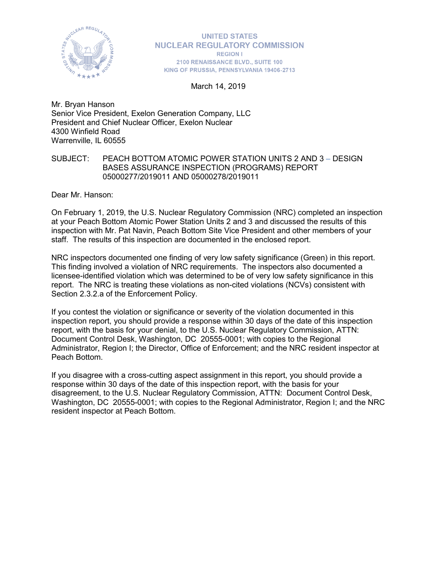

**UNITED STATES NUCLEAR REGULATORY COMMISSION REGION I** 2100 RENAISSANCE BLVD., SUITE 100 KING OF PRUSSIA, PENNSYLVANIA 19406-2713

March 14, 2019

Mr. Bryan Hanson Senior Vice President, Exelon Generation Company, LLC President and Chief Nuclear Officer, Exelon Nuclear 4300 Winfield Road Warrenville, IL 60555

#### SUBJECT: PEACH BOTTOM ATOMIC POWER STATION UNITS 2 AND 3 – DESIGN BASES ASSURANCE INSPECTION (PROGRAMS) REPORT 05000277/2019011 AND 05000278/2019011

Dear Mr. Hanson:

On February 1, 2019, the U.S. Nuclear Regulatory Commission (NRC) completed an inspection at your Peach Bottom Atomic Power Station Units 2 and 3 and discussed the results of this inspection with Mr. Pat Navin, Peach Bottom Site Vice President and other members of your staff. The results of this inspection are documented in the enclosed report.

NRC inspectors documented one finding of very low safety significance (Green) in this report. This finding involved a violation of NRC requirements. The inspectors also documented a licensee-identified violation which was determined to be of very low safety significance in this report. The NRC is treating these violations as non-cited violations (NCVs) consistent with Section 2.3.2.a of the Enforcement Policy.

If you contest the violation or significance or severity of the violation documented in this inspection report, you should provide a response within 30 days of the date of this inspection report, with the basis for your denial, to the U.S. Nuclear Regulatory Commission, ATTN: Document Control Desk, Washington, DC 20555-0001; with copies to the Regional Administrator, Region I; the Director, Office of Enforcement; and the NRC resident inspector at Peach Bottom.

If you disagree with a cross-cutting aspect assignment in this report, you should provide a response within 30 days of the date of this inspection report, with the basis for your disagreement, to the U.S. Nuclear Regulatory Commission, ATTN: Document Control Desk, Washington, DC 20555-0001; with copies to the Regional Administrator, Region I; and the NRC resident inspector at Peach Bottom.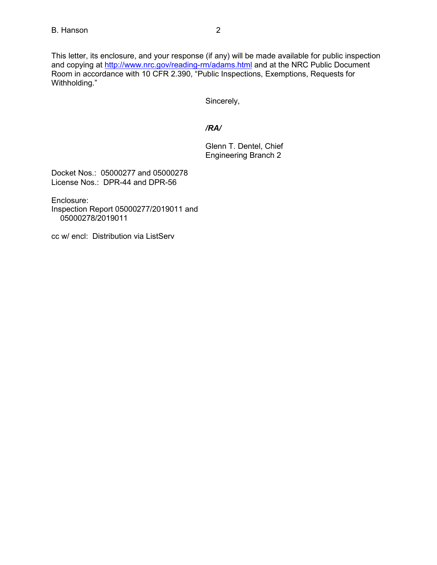This letter, its enclosure, and your response (if any) will be made available for public inspection and copying at<http://www.nrc.gov/reading-rm/adams.html> and at the NRC Public Document Room in accordance with 10 CFR 2.390, "Public Inspections, Exemptions, Requests for Withholding."

Sincerely,

## */RA/*

Glenn T. Dentel, Chief Engineering Branch 2

Docket Nos.: 05000277 and 05000278 License Nos.: DPR-44 and DPR-56

Enclosure:

Inspection Report 05000277/2019011 and 05000278/2019011

cc w/ encl: Distribution via ListServ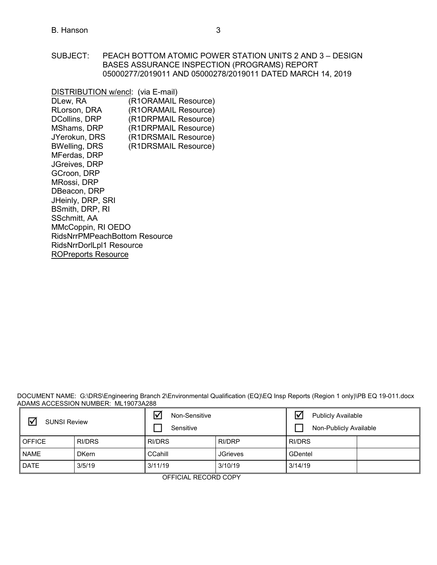SUBJECT: PEACH BOTTOM ATOMIC POWER STATION UNITS 2 AND 3 – DESIGN BASES ASSURANCE INSPECTION (PROGRAMS) REPORT 05000277/2019011 AND 05000278/2019011 DATED MARCH 14, 2019

DISTRIBUTION w/encl: (via E-mail) DLew, RA (R1ORAMAIL Resource)<br>RLorson, DRA (R1ORAMAIL Resource) (R1ORAMAIL Resource) DCollins, DRP (R1DRPMAIL Resource)<br>MShams, DRP (R1DRPMAIL Resource) MShams, DRP (R1DRPMAIL Resource)<br>JYerokun, DRS (R1DRSMAIL Resource) JYerokun, DRS (R1DRSMAIL Resource)<br>BWelling, DRS (R1DRSMAIL Resource) (R1DRSMAIL Resource) MFerdas, DRP JGreives, DRP GCroon, DRP MRossi, DRP DBeacon, DRP JHeinly, DRP, SRI BSmith, DRP, RI SSchmitt, AA MMcCoppin, RI OEDO RidsNrrPMPeachBottom Resource RidsNrrDorlLpl1 Resource [ROPreports Reso](mailto:ROPreportsResource@nrc.gov)urce

DOCUMENT NAME: G:\DRS\Engineering Branch 2\Environmental Qualification (EQ)\EQ Insp Reports (Region 1 only)\PB EQ 19-011.docx ADAMS ACCESSION NUMBER: ML19073A288

| $\triangledown$<br><b>SUNSI Review</b> |              | Non-Sensitive<br>Sensitive |                 | ☑<br><b>Publicly Available</b><br>Non-Publicly Available |  |
|----------------------------------------|--------------|----------------------------|-----------------|----------------------------------------------------------|--|
| <b>OFFICE</b>                          | RI/DRS       | <b>RI/DRS</b>              | RI/DRP          | <b>RI/DRS</b>                                            |  |
| <b>NAME</b>                            | <b>DKern</b> | CCahill                    | <b>JGrieves</b> | GDentel                                                  |  |
| <b>DATE</b>                            | 3/5/19       | 3/11/19                    | 3/10/19         | 3/14/19                                                  |  |

OFFICIAL RECORD COPY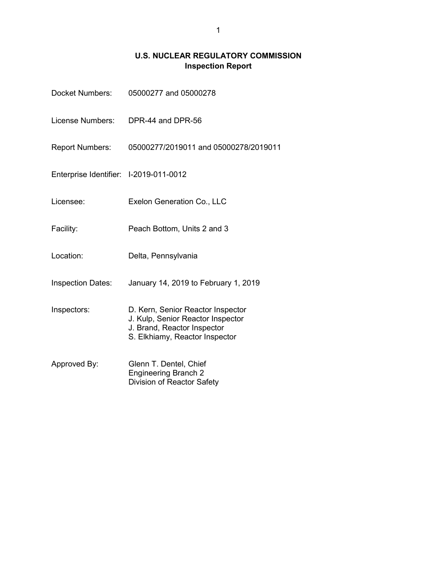# **U.S. NUCLEAR REGULATORY COMMISSION Inspection Report**

| Docket Numbers:                        | 05000277 and 05000278                                                                                                                   |
|----------------------------------------|-----------------------------------------------------------------------------------------------------------------------------------------|
| License Numbers:                       | DPR-44 and DPR-56                                                                                                                       |
| <b>Report Numbers:</b>                 | 05000277/2019011 and 05000278/2019011                                                                                                   |
| Enterprise Identifier: I-2019-011-0012 |                                                                                                                                         |
| Licensee:                              | Exelon Generation Co., LLC                                                                                                              |
| Facility:                              | Peach Bottom, Units 2 and 3                                                                                                             |
| Location:                              | Delta, Pennsylvania                                                                                                                     |
| <b>Inspection Dates:</b>               | January 14, 2019 to February 1, 2019                                                                                                    |
| Inspectors:                            | D. Kern, Senior Reactor Inspector<br>J. Kulp, Senior Reactor Inspector<br>J. Brand, Reactor Inspector<br>S. Elkhiamy, Reactor Inspector |
| Approved By:                           | Glenn T. Dentel, Chief<br><b>Engineering Branch 2</b><br>Division of Reactor Safety                                                     |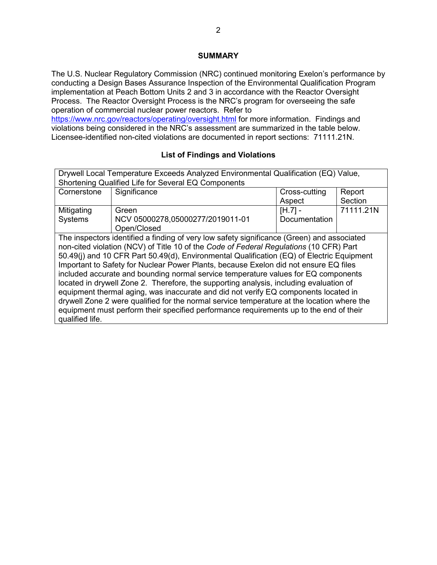### **SUMMARY**

The U.S. Nuclear Regulatory Commission (NRC) continued monitoring Exelon's performance by conducting a Design Bases Assurance Inspection of the Environmental Qualification Program implementation at Peach Bottom Units 2 and 3 in accordance with the Reactor Oversight Process. The Reactor Oversight Process is the NRC's program for overseeing the safe operation of commercial nuclear power reactors. Refer to

<https://www.nrc.gov/reactors/operating/oversight.html> for more information. Findings and violations being considered in the NRC's assessment are summarized in the table below. Licensee-identified non-cited violations are documented in report sections: 71111.21N.

# **List of Findings and Violations**

| Drywell Local Temperature Exceeds Analyzed Environmental Qualification (EQ) Value,         |                                                                                            |               |           |  |
|--------------------------------------------------------------------------------------------|--------------------------------------------------------------------------------------------|---------------|-----------|--|
|                                                                                            | Shortening Qualified Life for Several EQ Components                                        |               |           |  |
| Cornerstone                                                                                | Significance                                                                               | Cross-cutting | Report    |  |
|                                                                                            |                                                                                            | Aspect        | Section   |  |
| Mitigating                                                                                 | Green                                                                                      | $[H.7] -$     | 71111.21N |  |
| Systems                                                                                    | NCV 05000278,05000277/2019011-01                                                           | Documentation |           |  |
|                                                                                            | Open/Closed                                                                                |               |           |  |
|                                                                                            | The inspectors identified a finding of very low safety significance (Green) and associated |               |           |  |
|                                                                                            | non-cited violation (NCV) of Title 10 of the Code of Federal Regulations (10 CFR) Part     |               |           |  |
| 50.49(j) and 10 CFR Part 50.49(d), Environmental Qualification (EQ) of Electric Equipment  |                                                                                            |               |           |  |
| Important to Safety for Nuclear Power Plants, because Exelon did not ensure EQ files       |                                                                                            |               |           |  |
| included accurate and bounding normal service temperature values for EQ components         |                                                                                            |               |           |  |
| located in drywell Zone 2. Therefore, the supporting analysis, including evaluation of     |                                                                                            |               |           |  |
| equipment thermal aging, was inaccurate and did not verify EQ components located in        |                                                                                            |               |           |  |
| drywell Zone 2 were qualified for the normal service temperature at the location where the |                                                                                            |               |           |  |
| equipment must perform their specified performance requirements up to the end of their     |                                                                                            |               |           |  |
| qualified life.                                                                            |                                                                                            |               |           |  |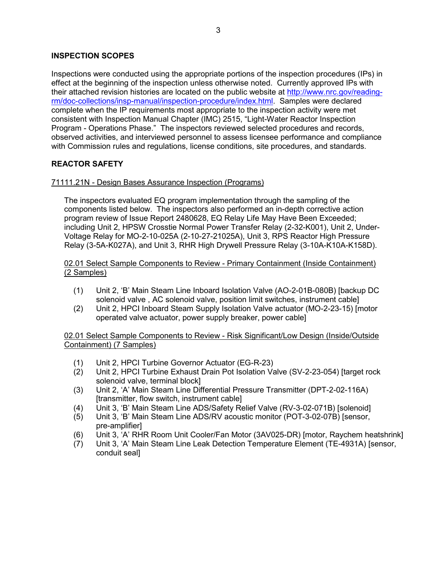### **INSPECTION SCOPES**

Inspections were conducted using the appropriate portions of the inspection procedures (IPs) in effect at the beginning of the inspection unless otherwise noted. Currently approved IPs with their attached revision histories are located on the public website at [http://www.nrc.gov/reading](http://www.nrc.gov/reading-rm/doc-collections/insp-manual/inspection-procedure/index.html)[rm/doc-collections/insp-manual/inspection-procedure/index.html.](http://www.nrc.gov/reading-rm/doc-collections/insp-manual/inspection-procedure/index.html) Samples were declared complete when the IP requirements most appropriate to the inspection activity were met consistent with Inspection Manual Chapter (IMC) 2515, "Light-Water Reactor Inspection Program - Operations Phase." The inspectors reviewed selected procedures and records, observed activities, and interviewed personnel to assess licensee performance and compliance with Commission rules and regulations, license conditions, site procedures, and standards.

# **REACTOR SAFETY**

### 71111.21N - Design Bases Assurance Inspection (Programs)

The inspectors evaluated EQ program implementation through the sampling of the components listed below. The inspectors also performed an in-depth corrective action program review of Issue Report 2480628, EQ Relay Life May Have Been Exceeded; including Unit 2, HPSW Crosstie Normal Power Transfer Relay (2-32-K001), Unit 2, Under-Voltage Relay for MO-2-10-025A (2-10-27-21025A), Unit 3, RPS Reactor High Pressure Relay (3-5A-K027A), and Unit 3, RHR High Drywell Pressure Relay (3-10A-K10A-K158D).

### 02.01 Select Sample Components to Review - Primary Containment (Inside Containment) (2 Samples)

- (1) Unit 2, 'B' Main Steam Line Inboard Isolation Valve (AO-2-01B-080B) [backup DC solenoid valve , AC solenoid valve, position limit switches, instrument cable]
- (2) Unit 2, HPCI Inboard Steam Supply Isolation Valve actuator (MO-2-23-15) [motor operated valve actuator, power supply breaker, power cable]

02.01 Select Sample Components to Review - Risk Significant/Low Design (Inside/Outside Containment) (7 Samples)

- (1) Unit 2, HPCI Turbine Governor Actuator (EG-R-23)
- (2) Unit 2, HPCI Turbine Exhaust Drain Pot Isolation Valve (SV-2-23-054) [target rock solenoid valve, terminal block]
- (3) Unit 2, 'A' Main Steam Line Differential Pressure Transmitter (DPT-2-02-116A) [transmitter, flow switch, instrument cable]
- (4) Unit 3, 'B' Main Steam Line ADS/Safety Relief Valve (RV-3-02-071B) [solenoid]
- (5) Unit 3, 'B' Main Steam Line ADS/RV acoustic monitor (POT-3-02-07B) [sensor, pre-amplifier]
- (6) Unit 3, 'A' RHR Room Unit Cooler/Fan Motor (3AV025-DR) [motor, Raychem heatshrink]
- (7) Unit 3, 'A' Main Steam Line Leak Detection Temperature Element (TE-4931A) [sensor, conduit seal]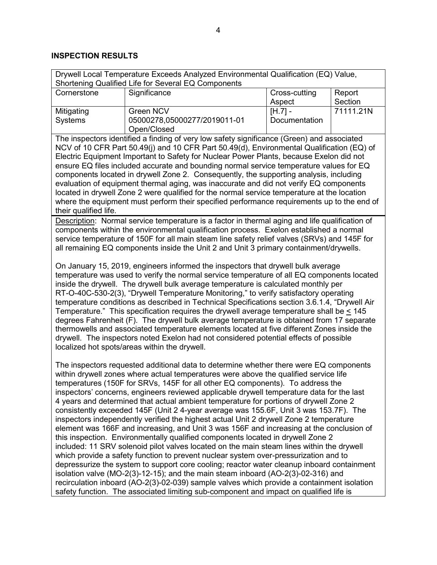# **INSPECTION RESULTS**

| Drywell Local Temperature Exceeds Analyzed Environmental Qualification (EQ) Value,                                                                                                 |                                                                                                                                                                                  |                         |                   |  |  |  |
|------------------------------------------------------------------------------------------------------------------------------------------------------------------------------------|----------------------------------------------------------------------------------------------------------------------------------------------------------------------------------|-------------------------|-------------------|--|--|--|
|                                                                                                                                                                                    | Shortening Qualified Life for Several EQ Components                                                                                                                              |                         |                   |  |  |  |
| Cornerstone                                                                                                                                                                        | Significance                                                                                                                                                                     | Cross-cutting<br>Aspect | Report<br>Section |  |  |  |
| Mitigating                                                                                                                                                                         | Green NCV                                                                                                                                                                        | $[H.7] -$               | 71111.21N         |  |  |  |
| <b>Systems</b>                                                                                                                                                                     | 05000278,05000277/2019011-01                                                                                                                                                     | Documentation           |                   |  |  |  |
|                                                                                                                                                                                    | Open/Closed                                                                                                                                                                      |                         |                   |  |  |  |
|                                                                                                                                                                                    | The inspectors identified a finding of very low safety significance (Green) and associated                                                                                       |                         |                   |  |  |  |
|                                                                                                                                                                                    | NCV of 10 CFR Part 50.49(j) and 10 CFR Part 50.49(d), Environmental Qualification (EQ) of                                                                                        |                         |                   |  |  |  |
|                                                                                                                                                                                    | Electric Equipment Important to Safety for Nuclear Power Plants, because Exelon did not                                                                                          |                         |                   |  |  |  |
|                                                                                                                                                                                    | ensure EQ files included accurate and bounding normal service temperature values for EQ                                                                                          |                         |                   |  |  |  |
|                                                                                                                                                                                    | components located in drywell Zone 2. Consequently, the supporting analysis, including<br>evaluation of equipment thermal aging, was inaccurate and did not verify EQ components |                         |                   |  |  |  |
|                                                                                                                                                                                    | located in drywell Zone 2 were qualified for the normal service temperature at the location                                                                                      |                         |                   |  |  |  |
|                                                                                                                                                                                    | where the equipment must perform their specified performance requirements up to the end of                                                                                       |                         |                   |  |  |  |
| their qualified life.                                                                                                                                                              |                                                                                                                                                                                  |                         |                   |  |  |  |
|                                                                                                                                                                                    | Description: Normal service temperature is a factor in thermal aging and life qualification of                                                                                   |                         |                   |  |  |  |
|                                                                                                                                                                                    | components within the environmental qualification process. Exelon established a normal                                                                                           |                         |                   |  |  |  |
|                                                                                                                                                                                    | service temperature of 150F for all main steam line safety relief valves (SRVs) and 145F for                                                                                     |                         |                   |  |  |  |
|                                                                                                                                                                                    | all remaining EQ components inside the Unit 2 and Unit 3 primary containment/drywells.                                                                                           |                         |                   |  |  |  |
|                                                                                                                                                                                    |                                                                                                                                                                                  |                         |                   |  |  |  |
|                                                                                                                                                                                    | On January 15, 2019, engineers informed the inspectors that drywell bulk average                                                                                                 |                         |                   |  |  |  |
|                                                                                                                                                                                    | temperature was used to verify the normal service temperature of all EQ components located                                                                                       |                         |                   |  |  |  |
|                                                                                                                                                                                    | inside the drywell. The drywell bulk average temperature is calculated monthly per<br>RT-O-40C-530-2(3), "Drywell Temperature Monitoring," to verify satisfactory operating      |                         |                   |  |  |  |
|                                                                                                                                                                                    | temperature conditions as described in Technical Specifications section 3.6.1.4, "Drywell Air                                                                                    |                         |                   |  |  |  |
|                                                                                                                                                                                    | Temperature." This specification requires the drywell average temperature shall be $\leq 145$                                                                                    |                         |                   |  |  |  |
|                                                                                                                                                                                    | degrees Fahrenheit (F). The drywell bulk average temperature is obtained from 17 separate                                                                                        |                         |                   |  |  |  |
|                                                                                                                                                                                    | thermowells and associated temperature elements located at five different Zones inside the                                                                                       |                         |                   |  |  |  |
|                                                                                                                                                                                    | drywell. The inspectors noted Exelon had not considered potential effects of possible                                                                                            |                         |                   |  |  |  |
| localized hot spots/areas within the drywell.                                                                                                                                      |                                                                                                                                                                                  |                         |                   |  |  |  |
|                                                                                                                                                                                    |                                                                                                                                                                                  |                         |                   |  |  |  |
| The inspectors requested additional data to determine whether there were EQ components                                                                                             |                                                                                                                                                                                  |                         |                   |  |  |  |
| within drywell zones where actual temperatures were above the qualified service life                                                                                               |                                                                                                                                                                                  |                         |                   |  |  |  |
| temperatures (150F for SRVs, 145F for all other EQ components). To address the                                                                                                     |                                                                                                                                                                                  |                         |                   |  |  |  |
| inspectors' concerns, engineers reviewed applicable drywell temperature data for the last                                                                                          |                                                                                                                                                                                  |                         |                   |  |  |  |
|                                                                                                                                                                                    | 4 years and determined that actual ambient temperature for portions of drywell Zone 2                                                                                            |                         |                   |  |  |  |
|                                                                                                                                                                                    | consistently exceeded 145F (Unit 2 4-year average was 155.6F, Unit 3 was 153.7F). The                                                                                            |                         |                   |  |  |  |
| inspectors independently verified the highest actual Unit 2 drywell Zone 2 temperature<br>element was 166F and increasing, and Unit 3 was 156F and increasing at the conclusion of |                                                                                                                                                                                  |                         |                   |  |  |  |
| this inspection. Environmentally qualified components located in drywell Zone 2                                                                                                    |                                                                                                                                                                                  |                         |                   |  |  |  |
|                                                                                                                                                                                    | included: 11 SRV solenoid pilot valves located on the main steam lines within the drywell                                                                                        |                         |                   |  |  |  |
| which provide a safety function to prevent nuclear system over-pressurization and to                                                                                               |                                                                                                                                                                                  |                         |                   |  |  |  |
| depressurize the system to support core cooling; reactor water cleanup inboard containment                                                                                         |                                                                                                                                                                                  |                         |                   |  |  |  |
| isolation valve (MO-2(3)-12-15); and the main steam inboard (AO-2(3)-02-316) and                                                                                                   |                                                                                                                                                                                  |                         |                   |  |  |  |
|                                                                                                                                                                                    | recirculation inboard (AO-2(3)-02-039) sample valves which provide a containment isolation                                                                                       |                         |                   |  |  |  |
|                                                                                                                                                                                    | safety function. The associated limiting sub-component and impact on qualified life is                                                                                           |                         |                   |  |  |  |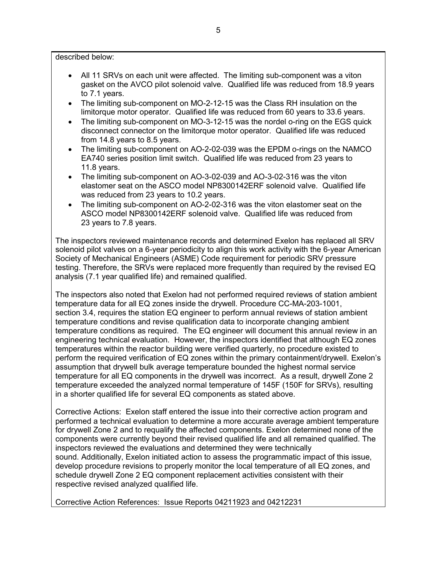described below:

- All 11 SRVs on each unit were affected. The limiting sub-component was a viton gasket on the AVCO pilot solenoid valve. Qualified life was reduced from 18.9 years to 7.1 years.
- The limiting sub-component on MO-2-12-15 was the Class RH insulation on the limitorque motor operator. Qualified life was reduced from 60 years to 33.6 years.
- The limiting sub-component on MO-3-12-15 was the nordel o-ring on the EGS quick disconnect connector on the limitorque motor operator. Qualified life was reduced from 14.8 years to 8.5 years.
- The limiting sub-component on AO-2-02-039 was the EPDM o-rings on the NAMCO EA740 series position limit switch. Qualified life was reduced from 23 years to 11.8 years.
- The limiting sub-component on AO-3-02-039 and AO-3-02-316 was the viton elastomer seat on the ASCO model NP8300142ERF solenoid valve. Qualified life was reduced from 23 years to 10.2 years.
- The limiting sub-component on AO-2-02-316 was the viton elastomer seat on the ASCO model NP8300142ERF solenoid valve. Qualified life was reduced from 23 years to 7.8 years.

The inspectors reviewed maintenance records and determined Exelon has replaced all SRV solenoid pilot valves on a 6-year periodicity to align this work activity with the 6-year American Society of Mechanical Engineers (ASME) Code requirement for periodic SRV pressure testing. Therefore, the SRVs were replaced more frequently than required by the revised EQ analysis (7.1 year qualified life) and remained qualified.

The inspectors also noted that Exelon had not performed required reviews of station ambient temperature data for all EQ zones inside the drywell. Procedure CC-MA-203-1001, section 3.4, requires the station EQ engineer to perform annual reviews of station ambient temperature conditions and revise qualification data to incorporate changing ambient temperature conditions as required. The EQ engineer will document this annual review in an engineering technical evaluation. However, the inspectors identified that although EQ zones temperatures within the reactor building were verified quarterly, no procedure existed to perform the required verification of EQ zones within the primary containment/drywell. Exelon's assumption that drywell bulk average temperature bounded the highest normal service temperature for all EQ components in the drywell was incorrect. As a result, drywell Zone 2 temperature exceeded the analyzed normal temperature of 145F (150F for SRVs), resulting in a shorter qualified life for several EQ components as stated above.

Corrective Actions: Exelon staff entered the issue into their corrective action program and performed a technical evaluation to determine a more accurate average ambient temperature for drywell Zone 2 and to requalify the affected components. Exelon determined none of the components were currently beyond their revised qualified life and all remained qualified. The inspectors reviewed the evaluations and determined they were technically sound. Additionally, Exelon initiated action to assess the programmatic impact of this issue, develop procedure revisions to properly monitor the local temperature of all EQ zones, and schedule drywell Zone 2 EQ component replacement activities consistent with their respective revised analyzed qualified life.

Corrective Action References: Issue Reports 04211923 and 04212231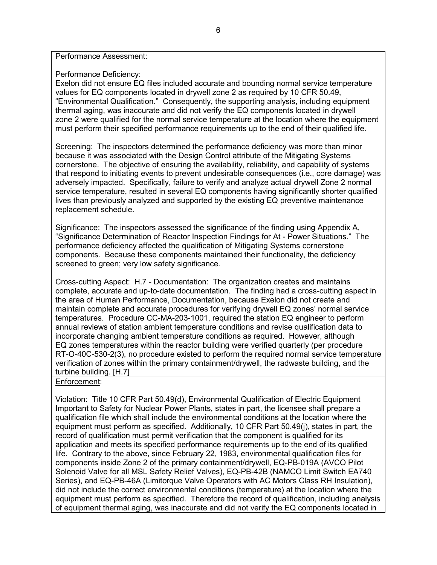#### Performance Assessment:

#### Performance Deficiency:

Exelon did not ensure EQ files included accurate and bounding normal service temperature values for EQ components located in drywell zone 2 as required by 10 CFR 50.49, "Environmental Qualification." Consequently, the supporting analysis, including equipment thermal aging, was inaccurate and did not verify the EQ components located in drywell zone 2 were qualified for the normal service temperature at the location where the equipment must perform their specified performance requirements up to the end of their qualified life.

Screening: The inspectors determined the performance deficiency was more than minor because it was associated with the Design Control attribute of the Mitigating Systems cornerstone. The objective of ensuring the availability, reliability, and capability of systems that respond to initiating events to prevent undesirable consequences (i.e., core damage) was adversely impacted. Specifically, failure to verify and analyze actual drywell Zone 2 normal service temperature, resulted in several EQ components having significantly shorter qualified lives than previously analyzed and supported by the existing EQ preventive maintenance replacement schedule.

Significance: The inspectors assessed the significance of the finding using Appendix A, "Significance Determination of Reactor Inspection Findings for At - Power Situations." The performance deficiency affected the qualification of Mitigating Systems cornerstone components. Because these components maintained their functionality, the deficiency screened to green; very low safety significance.

Cross-cutting Aspect: H.7 - Documentation: The organization creates and maintains complete, accurate and up-to-date documentation. The finding had a cross-cutting aspect in the area of Human Performance, Documentation, because Exelon did not create and maintain complete and accurate procedures for verifying drywell EQ zones' normal service temperatures. Procedure CC-MA-203-1001, required the station EQ engineer to perform annual reviews of station ambient temperature conditions and revise qualification data to incorporate changing ambient temperature conditions as required. However, although EQ zones temperatures within the reactor building were verified quarterly (per procedure RT-O-40C-530-2(3), no procedure existed to perform the required normal service temperature verification of zones within the primary containment/drywell, the radwaste building, and the turbine building. [H.7]

### Enforcement:

Violation: Title 10 CFR Part 50.49(d), Environmental Qualification of Electric Equipment Important to Safety for Nuclear Power Plants, states in part, the licensee shall prepare a qualification file which shall include the environmental conditions at the location where the equipment must perform as specified. Additionally, 10 CFR Part 50.49(j), states in part, the record of qualification must permit verification that the component is qualified for its application and meets its specified performance requirements up to the end of its qualified life. Contrary to the above, since February 22, 1983, environmental qualification files for components inside Zone 2 of the primary containment/drywell, EQ-PB-019A (AVCO Pilot Solenoid Valve for all MSL Safety Relief Valves), EQ-PB-42B (NAMCO Limit Switch EA740 Series), and EQ-PB-46A (Limitorque Valve Operators with AC Motors Class RH Insulation), did not include the correct environmental conditions (temperature) at the location where the equipment must perform as specified. Therefore the record of qualification, including analysis of equipment thermal aging, was inaccurate and did not verify the EQ components located in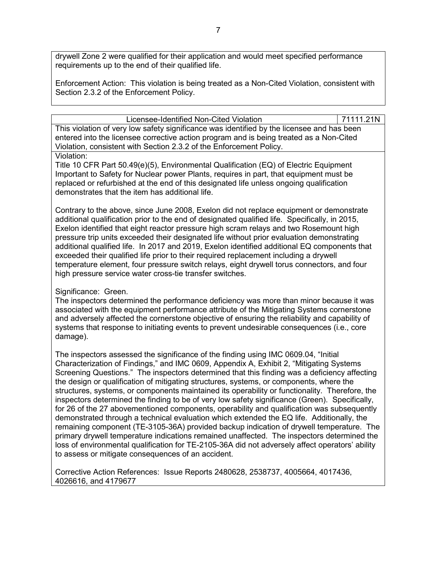drywell Zone 2 were qualified for their application and would meet specified performance requirements up to the end of their qualified life.

Enforcement Action: This violation is being treated as a Non-Cited Violation, consistent with Section 2.3.2 of the Enforcement Policy.

Licensee-Identified Non-Cited Violation **71111.21N** 

This violation of very low safety significance was identified by the licensee and has been entered into the licensee corrective action program and is being treated as a Non-Cited Violation, consistent with Section 2.3.2 of the Enforcement Policy.

#### Violation:

Title 10 CFR Part 50.49(e)(5), Environmental Qualification (EQ) of Electric Equipment Important to Safety for Nuclear power Plants, requires in part, that equipment must be replaced or refurbished at the end of this designated life unless ongoing qualification demonstrates that the item has additional life.

Contrary to the above, since June 2008, Exelon did not replace equipment or demonstrate additional qualification prior to the end of designated qualified life. Specifically, in 2015, Exelon identified that eight reactor pressure high scram relays and two Rosemount high pressure trip units exceeded their designated life without prior evaluation demonstrating additional qualified life. In 2017 and 2019, Exelon identified additional EQ components that exceeded their qualified life prior to their required replacement including a drywell temperature element, four pressure switch relays, eight drywell torus connectors, and four high pressure service water cross-tie transfer switches.

# Significance: Green.

The inspectors determined the performance deficiency was more than minor because it was associated with the equipment performance attribute of the Mitigating Systems cornerstone and adversely affected the cornerstone objective of ensuring the reliability and capability of systems that response to initiating events to prevent undesirable consequences (i.e., core damage).

The inspectors assessed the significance of the finding using IMC 0609.04, "Initial Characterization of Findings," and IMC 0609, Appendix A, Exhibit 2, "Mitigating Systems Screening Questions." The inspectors determined that this finding was a deficiency affecting the design or qualification of mitigating structures, systems, or components, where the structures, systems, or components maintained its operability or functionality. Therefore, the inspectors determined the finding to be of very low safety significance (Green). Specifically, for 26 of the 27 abovementioned components, operability and qualification was subsequently demonstrated through a technical evaluation which extended the EQ life. Additionally, the remaining component (TE-3105-36A) provided backup indication of drywell temperature. The primary drywell temperature indications remained unaffected. The inspectors determined the loss of environmental qualification for TE-2105-36A did not adversely affect operators' ability to assess or mitigate consequences of an accident.

Corrective Action References: Issue Reports 2480628, 2538737, 4005664, 4017436, 4026616, and 4179677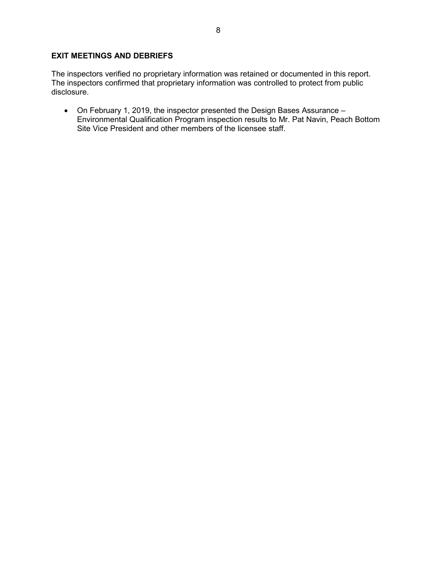### **EXIT MEETINGS AND DEBRIEFS**

The inspectors verified no proprietary information was retained or documented in this report. The inspectors confirmed that proprietary information was controlled to protect from public disclosure.

• On February 1, 2019, the inspector presented the Design Bases Assurance – Environmental Qualification Program inspection results to Mr. Pat Navin, Peach Bottom Site Vice President and other members of the licensee staff.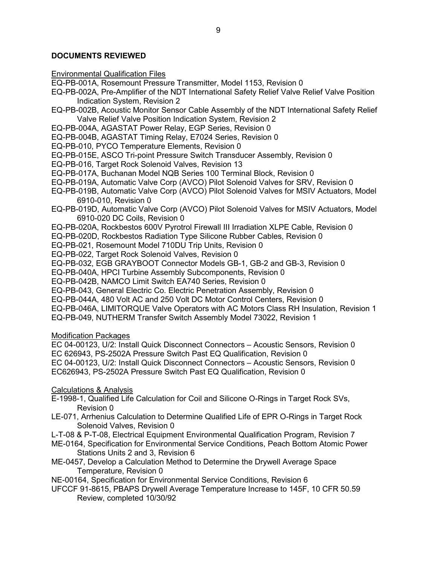### **DOCUMENTS REVIEWED**

Environmental Qualification Files

EQ-PB-001A, Rosemount Pressure Transmitter, Model 1153, Revision 0

- EQ-PB-002A, Pre-Amplifier of the NDT International Safety Relief Valve Relief Valve Position Indication System, Revision 2
- EQ-PB-002B, Acoustic Monitor Sensor Cable Assembly of the NDT International Safety Relief Valve Relief Valve Position Indication System, Revision 2
- EQ-PB-004A, AGASTAT Power Relay, EGP Series, Revision 0

EQ-PB-004B, AGASTAT Timing Relay, E7024 Series, Revision 0

EQ-PB-010, PYCO Temperature Elements, Revision 0

EQ-PB-015E, ASCO Tri-point Pressure Switch Transducer Assembly, Revision 0

- EQ-PB-016, Target Rock Solenoid Valves, Revision 13
- EQ-PB-017A, Buchanan Model NQB Series 100 Terminal Block, Revision 0
- EQ-PB-019A, Automatic Valve Corp (AVCO) Pilot Solenoid Valves for SRV, Revision 0
- EQ-PB-019B, Automatic Valve Corp (AVCO) Pilot Solenoid Valves for MSIV Actuators, Model 6910-010, Revision 0
- EQ-PB-019D, Automatic Valve Corp (AVCO) Pilot Solenoid Valves for MSIV Actuators, Model 6910-020 DC Coils, Revision 0
- EQ-PB-020A, Rockbestos 600V Pyrotrol Firewall III Irradiation XLPE Cable, Revision 0
- EQ-PB-020D, Rockbestos Radiation Type Silicone Rubber Cables, Revision 0

EQ-PB-021, Rosemount Model 710DU Trip Units, Revision 0

EQ-PB-022, Target Rock Solenoid Valves, Revision 0

EQ-PB-032, EGB GRAYBOOT Connector Models GB-1, GB-2 and GB-3, Revision 0

EQ-PB-040A, HPCI Turbine Assembly Subcomponents, Revision 0

EQ-PB-042B, NAMCO Limit Switch EA740 Series, Revision 0

EQ-PB-043, General Electric Co. Electric Penetration Assembly, Revision 0

EQ-PB-044A, 480 Volt AC and 250 Volt DC Motor Control Centers, Revision 0

EQ-PB-046A, LIMITORQUE Valve Operators with AC Motors Class RH Insulation, Revision 1

EQ-PB-049, NUTHERM Transfer Switch Assembly Model 73022, Revision 1

Modification Packages

EC 04-00123, U/2: Install Quick Disconnect Connectors – Acoustic Sensors, Revision 0 EC 626943, PS-2502A Pressure Switch Past EQ Qualification, Revision 0 EC 04-00123, U/2: Install Quick Disconnect Connectors – Acoustic Sensors, Revision 0 EC626943, PS-2502A Pressure Switch Past EQ Qualification, Revision 0

Calculations & Analysis

- E-1998-1, Qualified Life Calculation for Coil and Silicone O-Rings in Target Rock SVs, Revision 0
- LE-071, Arrhenius Calculation to Determine Qualified Life of EPR O-Rings in Target Rock Solenoid Valves, Revision 0
- L-T-08 & P-T-08, Electrical Equipment Environmental Qualification Program, Revision 7
- ME-0164, Specification for Environmental Service Conditions, Peach Bottom Atomic Power Stations Units 2 and 3, Revision 6
- ME-0457, Develop a Calculation Method to Determine the Drywell Average Space Temperature, Revision 0

NE-00164, Specification for Environmental Service Conditions, Revision 6

UFCCF 91-8615, PBAPS Drywell Average Temperature Increase to 145F, 10 CFR 50.59 Review, completed 10/30/92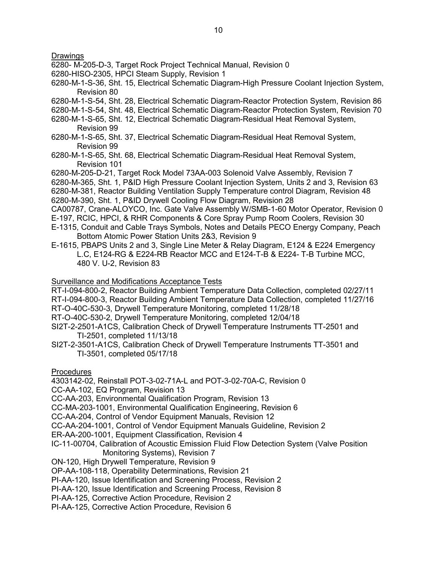**Drawings** 

- 6280- M-205-D-3, Target Rock Project Technical Manual, Revision 0
- 6280-HISO-2305, HPCI Steam Supply, Revision 1
- 6280-M-1-S-36, Sht. 15, Electrical Schematic Diagram-High Pressure Coolant Injection System, Revision 80
- 6280-M-1-S-54, Sht. 28, Electrical Schematic Diagram-Reactor Protection System, Revision 86
- 6280-M-1-S-54, Sht. 48, Electrical Schematic Diagram-Reactor Protection System, Revision 70
- 6280-M-1-S-65, Sht. 12, Electrical Schematic Diagram-Residual Heat Removal System, Revision 99
- 6280-M-1-S-65, Sht. 37, Electrical Schematic Diagram-Residual Heat Removal System, Revision 99
- 6280-M-1-S-65, Sht. 68, Electrical Schematic Diagram-Residual Heat Removal System, Revision 101

6280-M-205-D-21, Target Rock Model 73AA-003 Solenoid Valve Assembly, Revision 7 6280-M-365, Sht. 1, P&ID High Pressure Coolant Injection System, Units 2 and 3, Revision 63 6280-M-381, Reactor Building Ventilation Supply Temperature control Diagram, Revision 48 6280-M-390, Sht. 1, P&ID Drywell Cooling Flow Diagram, Revision 28

CA00787, Crane-ALOYCO, Inc. Gate Valve Assembly W/SMB-1-60 Motor Operator, Revision 0 E-197, RCIC, HPCI, & RHR Components & Core Spray Pump Room Coolers, Revision 30

E-1315, Conduit and Cable Trays Symbols, Notes and Details PECO Energy Company, Peach Bottom Atomic Power Station Units 2&3, Revision 9

E-1615, PBAPS Units 2 and 3, Single Line Meter & Relay Diagram, E124 & E224 Emergency L.C, E124-RG & E224-RB Reactor MCC and E124-T-B & E224- T-B Turbine MCC, 480 V. U-2, Revision 83

#### Surveillance and Modifications Acceptance Tests

RT-I-094-800-2, Reactor Building Ambient Temperature Data Collection, completed 02/27/11 RT-I-094-800-3, Reactor Building Ambient Temperature Data Collection, completed 11/27/16

- RT-O-40C-530-3, Drywell Temperature Monitoring, completed 11/28/18
- RT-O-40C-530-2, Drywell Temperature Monitoring, completed 12/04/18
- SI2T-2-2501-A1CS, Calibration Check of Drywell Temperature Instruments TT-2501 and TI-2501, completed 11/13/18
- SI2T-2-3501-A1CS, Calibration Check of Drywell Temperature Instruments TT-3501 and TI-3501, completed 05/17/18

**Procedures** 

4303142-02, Reinstall POT-3-02-71A-L and POT-3-02-70A-C, Revision 0

CC-AA-102, EQ Program, Revision 13

CC-AA-203, Environmental Qualification Program, Revision 13

CC-MA-203-1001, Environmental Qualification Engineering, Revision 6

CC-AA-204, Control of Vendor Equipment Manuals, Revision 12

CC-AA-204-1001, Control of Vendor Equipment Manuals Guideline, Revision 2

- ER-AA-200-1001, Equipment Classification, Revision 4
- IC-11-00704, Calibration of Acoustic Emission Fluid Flow Detection System (Valve Position Monitoring Systems), Revision 7
- ON-120, High Drywell Temperature, Revision 9
- OP-AA-108-118, Operability Determinations, Revision 21
- PI-AA-120, Issue Identification and Screening Process, Revision 2
- PI-AA-120, Issue Identification and Screening Process, Revision 8
- PI-AA-125, Corrective Action Procedure, Revision 2
- PI-AA-125, Corrective Action Procedure, Revision 6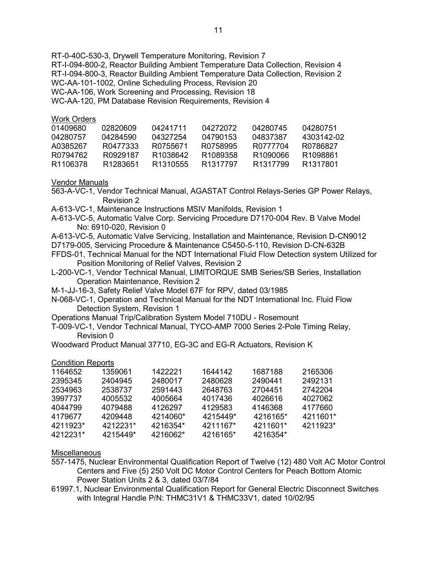RT-0-40C-530-3, Drywell Temperature Monitoring, Revision 7 RT-I-094-800-2, Reactor Building Ambient Temperature Data Collection, Revision 4 RT-I-094-800-3, Reactor Building Ambient Temperature Data Collection, Revision 2 WC-AA-101-1002, Online Scheduling Process, Revision 20 WC-AA-106, Work Screening and Processing, Revision 18 WC-AA-120, PM Database Revision Requirements, Revision 4

#### Work Orders

| 01409680 | 02820609             | 04241711             | 04272072             | 04280745             | 04280751              |
|----------|----------------------|----------------------|----------------------|----------------------|-----------------------|
| 04280757 | 04284590             | 04327254             | 04790153             | 04837387             | 4303142-02            |
| A0385267 | R0477333             | R0755671             | R0758995             | R0777704             | R0786827              |
| R0794762 | R0929187             | R <sub>1038642</sub> | R <sub>1089358</sub> | R1090066             | R <sub>1098861</sub>  |
| R1106378 | R <sub>1283651</sub> | R <sub>1310555</sub> | R <sub>1317797</sub> | R <sub>1317799</sub> | R <sub>13178</sub> 01 |
|          |                      |                      |                      |                      |                       |

#### Vendor Manuals

- 563-A-VC-1, Vendor Technical Manual, AGASTAT Control Relays-Series GP Power Relays, Revision 2
- A-613-VC-1, Maintenance Instructions MSIV Manifolds, Revision 1
- A-613-VC-5, Automatic Valve Corp. Servicing Procedure D7170-004 Rev. B Valve Model No: 6910-020, Revision 0
- A-613-VC-5, Automatic Valve Servicing, Installation and Maintenance, Revision D-CN9012
- D7179-005, Servicing Procedure & Maintenance C5450-5-110, Revision D-CN-632B
- FFDS-01, Technical Manual for the NDT International Fluid Flow Detection system Utilized for Position Monitoring of Relief Valves, Revision 2
- L-200-VC-1, Vendor Technical Manual, LIMITORQUE SMB Series/SB Series, Installation Operation Maintenance, Revision 2
- M-1-JJ-16-3, Safety Relief Valve Model 67F for RPV, dated 03/1985
- N-068-VC-1, Operation and Technical Manual for the NDT International Inc. Fluid Flow Detection System, Revision 1
- Operations Manual Trip/Calibration System Model 710DU Rosemount
- T-009-VC-1, Vendor Technical Manual, TYCO-AMP 7000 Series 2-Pole Timing Relay, Revision 0
- Woodward Product Manual 37710, EG-3C and EG-R Actuators, Revision K

#### Condition Reports

| 1164652  | 1359061  | 1422221  | 1644142  | 1687188  | 2165306  |
|----------|----------|----------|----------|----------|----------|
| 2395345  | 2404945  | 2480017  | 2480628  | 2490441  | 2492131  |
| 2534963  | 2538737  | 2591443  | 2648763  | 2704451  | 2742204  |
| 3997737  | 4005532  | 4005664  | 4017436  | 4026616  | 4027062  |
| 4044799  | 4079488  | 4126297  | 4129583  | 4146368  | 4177660  |
| 4179677  | 4209448  | 4214060* | 4215449* | 4216165* | 4211601* |
| 4211923* | 4212231* | 4216354* | 4211167* | 4211601* | 4211923* |
| 4212231* | 4215449* | 4216062* | 4216165* | 4216354* |          |

#### **Miscellaneous**

- 557-1475, Nuclear Environmental Qualification Report of Twelve (12) 480 Volt AC Motor Control Centers and Five (5) 250 Volt DC Motor Control Centers for Peach Bottom Atomic Power Station Units 2 & 3, dated 03/7/84
- 61997.1, Nuclear Environmental Qualification Report for General Electric Disconnect Switches with Integral Handle P/N: THMC31V1 & THMC33V1, dated 10/02/95